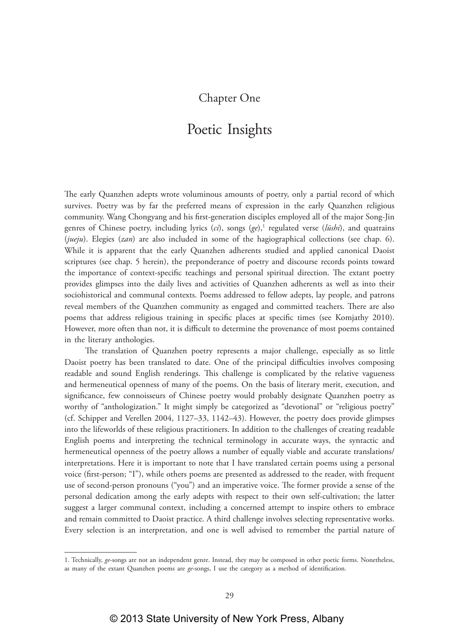# Chapter One

# Poetic Insights

The early Quanzhen adepts wrote voluminous amounts of poetry, only a partial record of which survives. Poetry was by far the preferred means of expression in the early Quanzhen religious community. Wang Chongyang and his first-generation disciples employed all of the major Song-Jin genres of Chinese poetry, including lyrics (*ci*), songs (*ge*),<sup>1</sup> regulated verse (*lüshi*), and quatrains (*jueju*). Elegies (*zan*) are also included in some of the hagiographical collections (see chap. 6). While it is apparent that the early Quanzhen adherents studied and applied canonical Daoist scriptures (see chap. 5 herein), the preponderance of poetry and discourse records points toward the importance of context-specific teachings and personal spiritual direction. The extant poetry provides glimpses into the daily lives and activities of Quanzhen adherents as well as into their sociohistorical and communal contexts. Poems addressed to fellow adepts, lay people, and patrons reveal members of the Quanzhen community as engaged and committed teachers. There are also poems that address religious training in specific places at specific times (see Komjathy 2010). However, more often than not, it is difficult to determine the provenance of most poems contained in the literary anthologies.

The translation of Quanzhen poetry represents a major challenge, especially as so little Daoist poetry has been translated to date. One of the principal difficulties involves composing readable and sound English renderings. This challenge is complicated by the relative vagueness and hermeneutical openness of many of the poems. On the basis of literary merit, execution, and significance, few connoisseurs of Chinese poetry would probably designate Quanzhen poetry as worthy of "anthologization." It might simply be categorized as "devotional" or "religious poetry" (cf. Schipper and Verellen 2004, 1127–33, 1142–43). However, the poetry does provide glimpses into the lifeworlds of these religious practitioners. In addition to the challenges of creating readable English poems and interpreting the technical terminology in accurate ways, the syntactic and hermeneutical openness of the poetry allows a number of equally viable and accurate translations/ interpretations. Here it is important to note that I have translated certain poems using a personal voice (first-person; "I"), while others poems are presented as addressed to the reader, with frequent use of second-person pronouns ("you") and an imperative voice. The former provide a sense of the personal dedication among the early adepts with respect to their own self-cultivation; the latter suggest a larger communal context, including a concerned attempt to inspire others to embrace and remain committed to Daoist practice. A third challenge involves selecting representative works. Every selection is an interpretation, and one is well advised to remember the partial nature of

<sup>1.</sup> Technically, *ge*-songs are not an independent genre. Instead, they may be composed in other poetic forms. Nonetheless,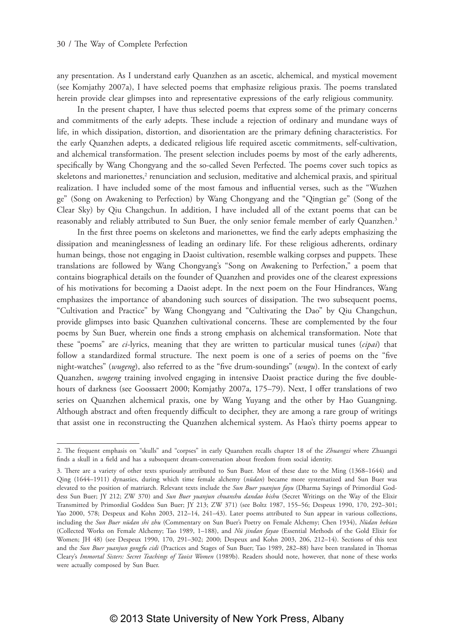any presentation. As I understand early Quanzhen as an ascetic, alchemical, and mystical movement (see Komjathy 2007a), I have selected poems that emphasize religious praxis. The poems translated herein provide clear glimpses into and representative expressions of the early religious community.

In the present chapter, I have thus selected poems that express some of the primary concerns and commitments of the early adepts. These include a rejection of ordinary and mundane ways of life, in which dissipation, distortion, and disorientation are the primary defining characteristics. For the early Quanzhen adepts, a dedicated religious life required ascetic commitments, self-cultivation, and alchemical transformation. The present selection includes poems by most of the early adherents, specifically by Wang Chongyang and the so-called Seven Perfected. The poems cover such topics as skeletons and marionettes,<sup>2</sup> renunciation and seclusion, meditative and alchemical praxis, and spiritual realization. I have included some of the most famous and influential verses, such as the "Wuzhen ge" (Song on Awakening to Perfection) by Wang Chongyang and the "Qingtian ge" (Song of the Clear Sky) by Qiu Changchun. In addition, I have included all of the extant poems that can be reasonably and reliably attributed to Sun Buer, the only senior female member of early Quanzhen.<sup>3</sup>

In the first three poems on skeletons and marionettes, we find the early adepts emphasizing the dissipation and meaninglessness of leading an ordinary life. For these religious adherents, ordinary human beings, those not engaging in Daoist cultivation, resemble walking corpses and puppets. These translations are followed by Wang Chongyang's "Song on Awakening to Perfection," a poem that contains biographical details on the founder of Quanzhen and provides one of the clearest expressions of his motivations for becoming a Daoist adept. In the next poem on the Four Hindrances, Wang emphasizes the importance of abandoning such sources of dissipation. The two subsequent poems, "Cultivation and Practice" by Wang Chongyang and "Cultivating the Dao" by Qiu Changchun, provide glimpses into basic Quanzhen cultivational concerns. These are complemented by the four poems by Sun Buer, wherein one finds a strong emphasis on alchemical transformation. Note that these "poems" are *ci*-lyrics, meaning that they are written to particular musical tunes (*cipai*) that follow a standardized formal structure. The next poem is one of a series of poems on the "five night-watches" (*wugeng*), also referred to as the "five drum-soundings" (*wugu*). In the context of early Quanzhen, *wugeng* training involved engaging in intensive Daoist practice during the five doublehours of darkness (see Goossaert 2000; Komjathy 2007a, 175–79). Next, I offer translations of two series on Quanzhen alchemical praxis, one by Wang Yuyang and the other by Hao Guangning. Although abstract and often frequently difficult to decipher, they are among a rare group of writings that assist one in reconstructing the Quanzhen alchemical system. As Hao's thirty poems appear to

<sup>2.</sup> The frequent emphasis on "skulls" and "corpses" in early Quanzhen recalls chapter 18 of the *Zhuangzi* where Zhuangzi finds a skull in a field and has a subsequent dream-conversation about freedom from social identity.

<sup>3.</sup> There are a variety of other texts spuriously attributed to Sun Buer. Most of these date to the Ming (1368–1644) and Qing (1644–1911) dynasties, during which time female alchemy (*nüdan*) became more systematized and Sun Buer was elevated to the position of matriarch. Relevant texts include the *Sun Buer yuanjun fayu* (Dharma Sayings of Primordial Goddess Sun Buer; JY 212; ZW 370) and *Sun Buer yuanjun chuanshu dandao bishu* (Secret Writings on the Way of the Elixir Transmitted by Primordial Goddess Sun Buer; JY 213; ZW 371) (see Boltz 1987, 155–56; Despeux 1990, 170, 292–301; Yao 2000, 578; Despeux and Kohn 2003, 212–14, 241–43). Later poems attributed to Sun appear in various collections, including the *Sun Buer nüdan shi zhu* (Commentary on Sun Buer's Poetry on Female Alchemy; Chen 1934), *Nüdan hebian* (Collected Works on Female Alchemy; Tao 1989, 1–188), and *Nü jindan fayao* (Essential Methods of the Gold Elixir for Women; JH 48) (see Despeux 1990, 170, 291–302; 2000; Despeux and Kohn 2003, 206, 212–14). Sections of this text and the *Sun Buer yuanjun gongfu cidi* (Practices and Stages of Sun Buer; Tao 1989, 282–88) have been translated in Thomas Cleary's Immortal Sisters: Secret Teachings of Taoist Women (1989b). Readers should note, however, that none of these works were actually composed by Sun Buer.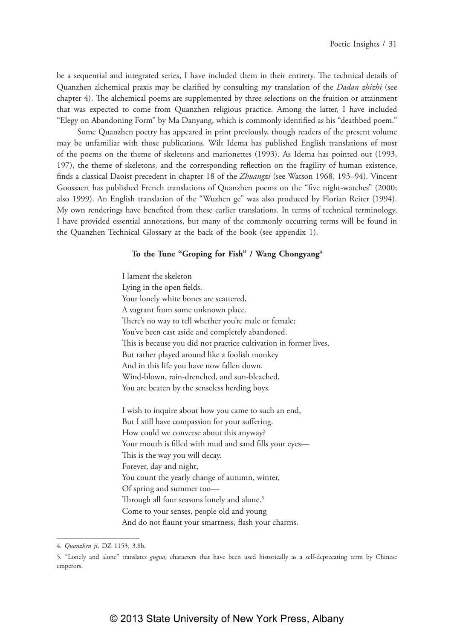be a sequential and integrated series, I have included them in their entirety. The technical details of Quanzhen alchemical praxis may be clarified by consulting my translation of the *Dadan zhizhi* (see chapter 4). The alchemical poems are supplemented by three selections on the fruition or attainment that was expected to come from Quanzhen religious practice. Among the latter, I have included "Elegy on Abandoning Form" by Ma Danyang, which is commonly identified as his "deathbed poem."

Some Quanzhen poetry has appeared in print previously, though readers of the present volume may be unfamiliar with those publications. Wilt Idema has published English translations of most of the poems on the theme of skeletons and marionettes (1993). As Idema has pointed out (1993, 197), the theme of skeletons, and the corresponding reflection on the fragility of human existence, finds a classical Daoist precedent in chapter 18 of the *Zhuangzi* (see Watson 1968, 193–94). Vincent Goossaert has published French translations of Quanzhen poems on the "five night-watches" (2000; also 1999). An English translation of the "Wuzhen ge" was also produced by Florian Reiter (1994). My own renderings have benefited from these earlier translations. In terms of technical terminology, I have provided essential annotations, but many of the commonly occurring terms will be found in the Quanzhen Technical Glossary at the back of the book (see appendix 1).

# **To the Tune "Groping for Fish" / Wang Chongyang4**

I lament the skeleton Lying in the open fields. Your lonely white bones are scattered, A vagrant from some unknown place. There's no way to tell whether you're male or female; You've been cast aside and completely abandoned. This is because you did not practice cultivation in former lives, But rather played around like a foolish monkey And in this life you have now fallen down. Wind-blown, rain-drenched, and sun-bleached, You are beaten by the senseless herding boys.

I wish to inquire about how you came to such an end, But I still have compassion for your suffering. How could we converse about this anyway? Your mouth is filled with mud and sand fills your eyes— This is the way you will decay. Forever, day and night, You count the yearly change of autumn, winter, Of spring and summer too— Through all four seasons lonely and alone.<sup>5</sup> Come to your senses, people old and young And do not flaunt your smartness, flash your charms.

<sup>4.</sup> *Quanzhen ji*, DZ 1153, 3.8b.

<sup>5. &</sup>quot;Lonely and alone" translates *gugua*, characters that have been used historically as a self-deprecating term by Chinese emperors.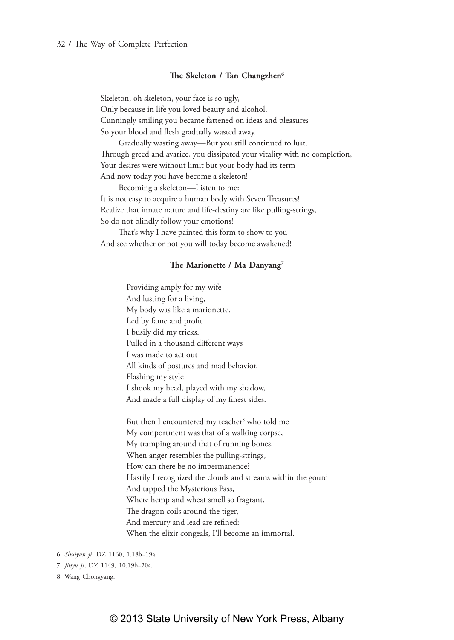# **The Skeleton / Tan Changzhen6**

Skeleton, oh skeleton, your face is so ugly, Only because in life you loved beauty and alcohol. Cunningly smiling you became fattened on ideas and pleasures So your blood and flesh gradually wasted away.

Gradually wasting away—But you still continued to lust. Through greed and avarice, you dissipated your vitality with no completion, Your desires were without limit but your body had its term And now today you have become a skeleton!

Becoming a skeleton—Listen to me: It is not easy to acquire a human body with Seven Treasures! Realize that innate nature and life-destiny are like pulling-strings, So do not blindly follow your emotions!

That's why I have painted this form to show to you And see whether or not you will today become awakened!

# **The Marionette / Ma Danyang7**

Providing amply for my wife And lusting for a living, My body was like a marionette. Led by fame and profit I busily did my tricks. Pulled in a thousand different ways I was made to act out All kinds of postures and mad behavior. Flashing my style I shook my head, played with my shadow, And made a full display of my finest sides.

But then I encountered my teacher<sup>8</sup> who told me My comportment was that of a walking corpse, My tramping around that of running bones. When anger resembles the pulling-strings, How can there be no impermanence? Hastily I recognized the clouds and streams within the gourd And tapped the Mysterious Pass, Where hemp and wheat smell so fragrant. The dragon coils around the tiger, And mercury and lead are refined: When the elixir congeals, I'll become an immortal.

<sup>6.</sup> *Shuiyun ji*, DZ 1160, 1.18b–19a.

<sup>7.</sup> *Jinyu ji*, DZ 1149, 10.19b–20a.

<sup>8.</sup> Wang Chongyang.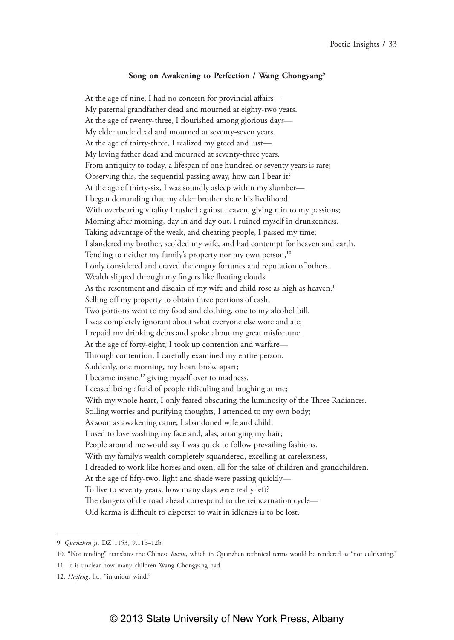## **Song on Awakening to Perfection / Wang Chongyang9**

At the age of nine, I had no concern for provincial affairs— My paternal grandfather dead and mourned at eighty-two years. At the age of twenty-three, I flourished among glorious days— My elder uncle dead and mourned at seventy-seven years. At the age of thirty-three, I realized my greed and lust— My loving father dead and mourned at seventy-three years. From antiquity to today, a lifespan of one hundred or seventy years is rare; Observing this, the sequential passing away, how can I bear it? At the age of thirty-six, I was soundly asleep within my slumber— I began demanding that my elder brother share his livelihood. With overbearing vitality I rushed against heaven, giving rein to my passions; Morning after morning, day in and day out, I ruined myself in drunkenness. Taking advantage of the weak, and cheating people, I passed my time; I slandered my brother, scolded my wife, and had contempt for heaven and earth. Tending to neither my family's property nor my own person,<sup>10</sup> I only considered and craved the empty fortunes and reputation of others. Wealth slipped through my fingers like floating clouds As the resentment and disdain of my wife and child rose as high as heaven.<sup>11</sup> Selling off my property to obtain three portions of cash, Two portions went to my food and clothing, one to my alcohol bill. I was completely ignorant about what everyone else wore and ate; I repaid my drinking debts and spoke about my great misfortune. At the age of forty-eight, I took up contention and warfare— Through contention, I carefully examined my entire person. Suddenly, one morning, my heart broke apart; I became insane,<sup>12</sup> giving myself over to madness. I ceased being afraid of people ridiculing and laughing at me; With my whole heart, I only feared obscuring the luminosity of the Three Radiances. Stilling worries and purifying thoughts, I attended to my own body; As soon as awakening came, I abandoned wife and child. I used to love washing my face and, alas, arranging my hair; People around me would say I was quick to follow prevailing fashions. With my family's wealth completely squandered, excelling at carelessness, I dreaded to work like horses and oxen, all for the sake of children and grandchildren. At the age of fifty-two, light and shade were passing quickly— To live to seventy years, how many days were really left? The dangers of the road ahead correspond to the reincarnation cycle— Old karma is difficult to disperse; to wait in idleness is to be lost.

<sup>9.</sup> *Quanzhen ji*, DZ 1153, 9.11b–12b.

<sup>10. &</sup>quot;Not tending" translates the Chinese *buxiu*, which in Quanzhen technical terms would be rendered as "not cultivating."

<sup>11.</sup> It is unclear how many children Wang Chongyang had.

<sup>12.</sup> *Haifeng*, lit., "injurious wind."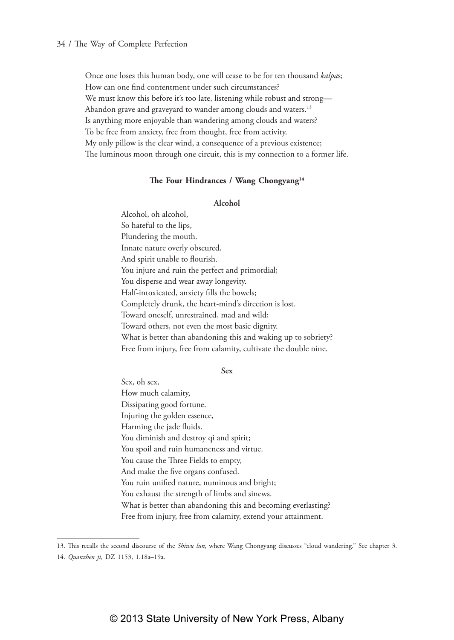Once one loses this human body, one will cease to be for ten thousand *kalpa*s; How can one find contentment under such circumstances? We must know this before it's too late, listening while robust and strong— Abandon grave and graveyard to wander among clouds and waters.<sup>13</sup> Is anything more enjoyable than wandering among clouds and waters? To be free from anxiety, free from thought, free from activity. My only pillow is the clear wind, a consequence of a previous existence; The luminous moon through one circuit, this is my connection to a former life.

# **The Four Hindrances / Wang Chongyang14**

## **Alcohol**

Alcohol, oh alcohol, So hateful to the lips, Plundering the mouth. Innate nature overly obscured, And spirit unable to flourish. You injure and ruin the perfect and primordial; You disperse and wear away longevity. Half-intoxicated, anxiety fills the bowels; Completely drunk, the heart-mind's direction is lost. Toward oneself, unrestrained, mad and wild; Toward others, not even the most basic dignity. What is better than abandoning this and waking up to sobriety? Free from injury, free from calamity, cultivate the double nine.

# **Sex**

Sex, oh sex, How much calamity, Dissipating good fortune. Injuring the golden essence, Harming the jade fluids. You diminish and destroy qi and spirit; You spoil and ruin humaneness and virtue. You cause the Three Fields to empty, And make the five organs confused. You ruin unified nature, numinous and bright; You exhaust the strength of limbs and sinews. What is better than abandoning this and becoming everlasting? Free from injury, free from calamity, extend your attainment.

<sup>13.</sup> This recalls the second discourse of the *Shiwu lun*, where Wang Chongyang discusses "cloud wandering." See chapter 3.

<sup>14.</sup> *Quanzhen ji*, DZ 1153, 1.18a–19a.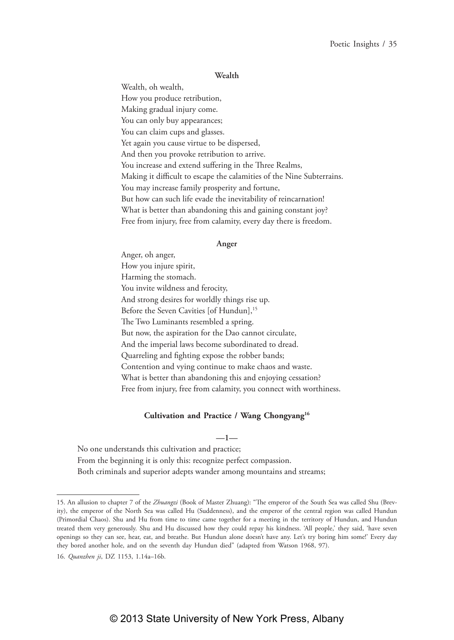#### **Wealth**

Wealth, oh wealth, How you produce retribution, Making gradual injury come. You can only buy appearances; You can claim cups and glasses. Yet again you cause virtue to be dispersed, And then you provoke retribution to arrive. You increase and extend suffering in the Three Realms, Making it difficult to escape the calamities of the Nine Subterrains. You may increase family prosperity and fortune, But how can such life evade the inevitability of reincarnation! What is better than abandoning this and gaining constant joy? Free from injury, free from calamity, every day there is freedom.

#### **Anger**

Anger, oh anger, How you injure spirit, Harming the stomach. You invite wildness and ferocity, And strong desires for worldly things rise up. Before the Seven Cavities [of Hundun],<sup>15</sup> The Two Luminants resembled a spring. But now, the aspiration for the Dao cannot circulate, And the imperial laws become subordinated to dread. Quarreling and fighting expose the robber bands; Contention and vying continue to make chaos and waste. What is better than abandoning this and enjoying cessation? Free from injury, free from calamity, you connect with worthiness.

#### **Cultivation and Practice / Wang Chongyang16**

**—1—**

No one understands this cultivation and practice; From the beginning it is only this: recognize perfect compassion. Both criminals and superior adepts wander among mountains and streams;

<sup>15.</sup> An allusion to chapter 7 of the *Zhuangzi* (Book of Master Zhuang): "The emperor of the South Sea was called Shu (Brevity), the emperor of the North Sea was called Hu (Suddenness), and the emperor of the central region was called Hundun (Primordial Chaos). Shu and Hu from time to time came together for a meeting in the territory of Hundun, and Hundun treated them very generously. Shu and Hu discussed how they could repay his kindness. 'All people,' they said, 'have seven openings so they can see, hear, eat, and breathe. But Hundun alone doesn't have any. Let's try boring him some!' Every day they bored another hole, and on the seventh day Hundun died" (adapted from Watson 1968, 97).

<sup>16.</sup> *Quanzhen ji*, DZ 1153, 1.14a–16b.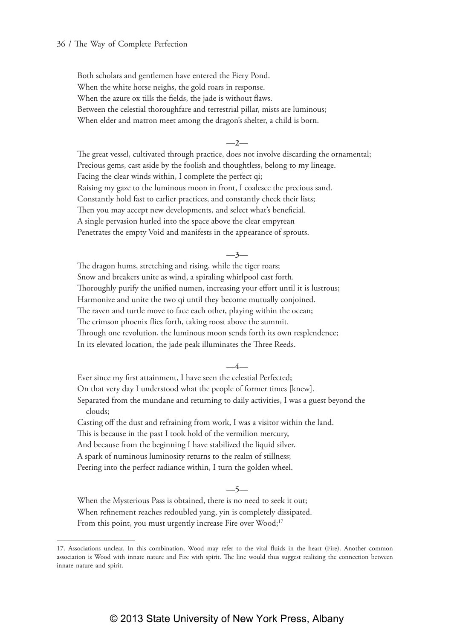# 36 / The Way of Complete Perfection

Both scholars and gentlemen have entered the Fiery Pond. When the white horse neighs, the gold roars in response. When the azure ox tills the fields, the jade is without flaws. Between the celestial thoroughfare and terrestrial pillar, mists are luminous; When elder and matron meet among the dragon's shelter, a child is born.

**—2—**

The great vessel, cultivated through practice, does not involve discarding the ornamental; Precious gems, cast aside by the foolish and thoughtless, belong to my lineage. Facing the clear winds within, I complete the perfect qi; Raising my gaze to the luminous moon in front, I coalesce the precious sand. Constantly hold fast to earlier practices, and constantly check their lists; Then you may accept new developments, and select what's beneficial. A single pervasion hurled into the space above the clear empyrean Penetrates the empty Void and manifests in the appearance of sprouts.

**—3—**

**—4—**

The dragon hums, stretching and rising, while the tiger roars; Snow and breakers unite as wind, a spiraling whirlpool cast forth. Thoroughly purify the unified numen, increasing your effort until it is lustrous; Harmonize and unite the two qi until they become mutually conjoined. The raven and turtle move to face each other, playing within the ocean; The crimson phoenix flies forth, taking roost above the summit. Through one revolution, the luminous moon sends forth its own resplendence; In its elevated location, the jade peak illuminates the Three Reeds.

Ever since my first attainment, I have seen the celestial Perfected; On that very day I understood what the people of former times [knew]. Separated from the mundane and returning to daily activities, I was a guest beyond the clouds; Casting off the dust and refraining from work, I was a visitor within the land.

This is because in the past I took hold of the vermilion mercury, And because from the beginning I have stabilized the liquid silver. A spark of numinous luminosity returns to the realm of stillness; Peering into the perfect radiance within, I turn the golden wheel.

## **—5—**

When the Mysterious Pass is obtained, there is no need to seek it out; When refinement reaches redoubled yang, yin is completely dissipated. From this point, you must urgently increase Fire over Wood;<sup>17</sup>

<sup>17.</sup> Associations unclear. In this combination, Wood may refer to the vital fluids in the heart (Fire). Another common association is Wood with innate nature and Fire with spirit. The line would thus suggest realizing the connection between innate nature and spirit.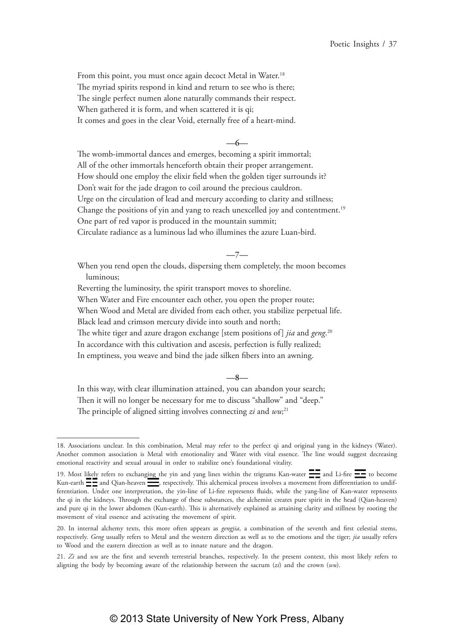From this point, you must once again decoct Metal in Water.<sup>18</sup> The myriad spirits respond in kind and return to see who is there; The single perfect numen alone naturally commands their respect. When gathered it is form, and when scattered it is qi; It comes and goes in the clear Void, eternally free of a heart-mind.

**—6—**

The womb-immortal dances and emerges, becoming a spirit immortal; All of the other immortals henceforth obtain their proper arrangement. How should one employ the elixir field when the golden tiger surrounds it? Don't wait for the jade dragon to coil around the precious cauldron. Urge on the circulation of lead and mercury according to clarity and stillness; Change the positions of yin and yang to reach unexcelled joy and contentment.<sup>19</sup> One part of red vapor is produced in the mountain summit; Circulate radiance as a luminous lad who illumines the azure Luan-bird.

**—7—**

When you rend open the clouds, dispersing them completely, the moon becomes luminous;

Reverting the luminosity, the spirit transport moves to shoreline. When Water and Fire encounter each other, you open the proper route; When Wood and Metal are divided from each other, you stabilize perpetual life. Black lead and crimson mercury divide into south and north; The white tiger and azure dragon exchange [stem positions of] *jia* and *geng*. 20 In accordance with this cultivation and ascesis, perfection is fully realized; In emptiness, you weave and bind the jade silken fibers into an awning.

**—8—**

In this way, with clear illumination attained, you can abandon your search; Then it will no longer be necessary for me to discuss "shallow" and "deep." The principle of aligned sitting involves connecting *zi* and *wu*; 21

<sup>18.</sup> Associations unclear. In this combination, Metal may refer to the perfect qi and original yang in the kidneys (Water). Another common association is Metal with emotionality and Water with vital essence. The line would suggest decreasing emotional reactivity and sexual arousal in order to stabilize one's foundational vitality.

<sup>19.</sup> Most likely refers to exchanging the yin and yang lines within the trigrams Kan-water  $\frac{1}{\sqrt{1-\frac{1}{n}}}$  and Li-fire  $\frac{1}{\sqrt{1-\frac{1}{n}}}$  to become Kun-earth  $\equiv$  and Qian-heaven  $\equiv$ , respectively. This alchemical process involves a movement from differentiation to undifferentiation. Under one interpretation, the yin-line of Li-fire represents fluids, while the yang-line of Kan-water represents the qi in the kidneys. Through the exchange of these substances, the alchemist creates pure spirit in the head (Qian-heaven) and pure qi in the lower abdomen (Kun-earth). This is alternatively explained as attaining clarity and stillness by rooting the movement of vital essence and activating the movement of spirit.

<sup>20.</sup> In internal alchemy texts, this more often appears as *gengjia*, a combination of the seventh and first celestial stems, respectively. *Geng* usually refers to Metal and the western direction as well as to the emotions and the tiger; *jia* usually refers to Wood and the eastern direction as well as to innate nature and the dragon.

<sup>21.</sup> *Zi* and *wu* are the first and seventh terrestrial branches, respectively. In the present context, this most likely refers to aligning the body by becoming aware of the relationship between the sacrum (*zi*) and the crown (*wu*).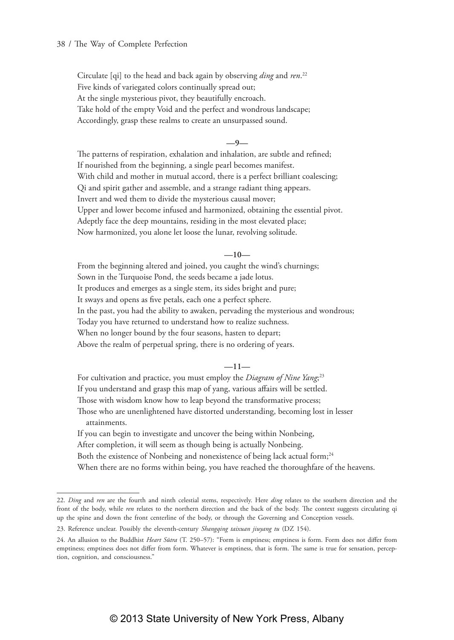Circulate [qi] to the head and back again by observing *ding* and *ren*. 22 Five kinds of variegated colors continually spread out; At the single mysterious pivot, they beautifully encroach. Take hold of the empty Void and the perfect and wondrous landscape; Accordingly, grasp these realms to create an unsurpassed sound.

# **—9—**

The patterns of respiration, exhalation and inhalation, are subtle and refined; If nourished from the beginning, a single pearl becomes manifest. With child and mother in mutual accord, there is a perfect brilliant coalescing; Qi and spirit gather and assemble, and a strange radiant thing appears. Invert and wed them to divide the mysterious causal mover; Upper and lower become infused and harmonized, obtaining the essential pivot. Adeptly face the deep mountains, residing in the most elevated place; Now harmonized, you alone let loose the lunar, revolving solitude.

## **—10—**

From the beginning altered and joined, you caught the wind's churnings; Sown in the Turquoise Pond, the seeds became a jade lotus. It produces and emerges as a single stem, its sides bright and pure; It sways and opens as five petals, each one a perfect sphere. In the past, you had the ability to awaken, pervading the mysterious and wondrous; Today you have returned to understand how to realize suchness. When no longer bound by the four seasons, hasten to depart; Above the realm of perpetual spring, there is no ordering of years.

#### **—11—**

For cultivation and practice, you must employ the *Diagram of Nine Yang*; 23 If you understand and grasp this map of yang, various affairs will be settled. Those with wisdom know how to leap beyond the transformative process; Those who are unenlightened have distorted understanding, becoming lost in lesser attainments. If you can begin to investigate and uncover the being within Nonbeing, After completion, it will seem as though being is actually Nonbeing.

Both the existence of Nonbeing and nonexistence of being lack actual form;<sup>24</sup>

When there are no forms within being, you have reached the thoroughfare of the heavens.

<sup>22.</sup> *Ding* and *ren* are the fourth and ninth celestial stems, respectively. Here *ding* relates to the southern direction and the front of the body, while *ren* relates to the northern direction and the back of the body. The context suggests circulating qi up the spine and down the front centerline of the body, or through the Governing and Conception vessels.

<sup>23.</sup> Reference unclear. Possibly the eleventh-century *Shangqing taixuan jiuyang tu* (DZ 154).

<sup>24.</sup> An allusion to the Buddhist *Heart Sūtra* (T. 250–57): "Form is emptiness; emptiness is form. Form does not differ from emptiness; emptiness does not differ from form. Whatever is emptiness, that is form. The same is true for sensation, perception, cognition, and consciousness."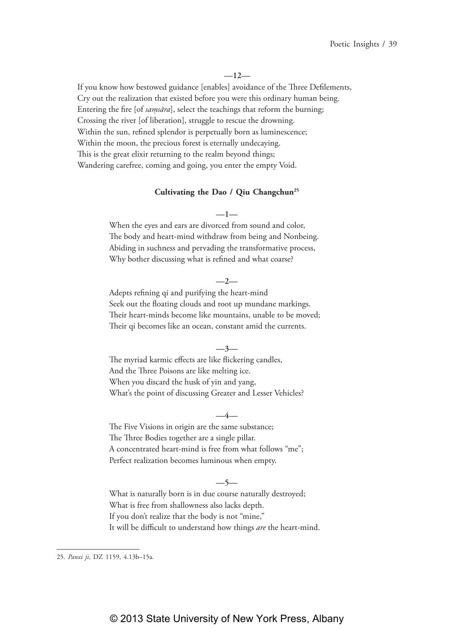**—12—**

If you know how bestowed guidance [enables] avoidance of the Three Defilements, Cry out the realization that existed before you were this ordinary human being. Entering the fire [of *samsāra*], select the teachings that reform the burning; Crossing the river [of liberation], struggle to rescue the drowning. Within the sun, refined splendor is perpetually born as luminescence; Within the moon, the precious forest is eternally undecaying. This is the great elixir returning to the realm beyond things; Wandering carefree, coming and going, you enter the empty Void.

# **Cultivating the Dao / Qiu Changchun25**

#### **—1—**

When the eyes and ears are divorced from sound and color, The body and heart-mind withdraw from being and Nonbeing. Abiding in suchness and pervading the transformative process, Why bother discussing what is refined and what coarse?

# **—2—**

Adepts refining qi and purifying the heart-mind Seek out the floating clouds and root up mundane markings. Their heart-minds become like mountains, unable to be moved; Their qi becomes like an ocean, constant amid the currents.

## **—3—**

The myriad karmic effects are like flickering candles, And the Three Poisons are like melting ice. When you discard the husk of yin and yang, What's the point of discussing Greater and Lesser Vehicles?

**—4—**

The Five Visions in origin are the same substance; The Three Bodies together are a single pillar. A concentrated heart-mind is free from what follows "me"; Perfect realization becomes luminous when empty.

## **—5—**

What is naturally born is in due course naturally destroyed; What is free from shallowness also lacks depth. If you don't realize that the body is not "mine," It will be difficult to understand how things *are* the heart-mind.

<sup>25.</sup> *Panxi ji*, DZ 1159, 4.13b–15a.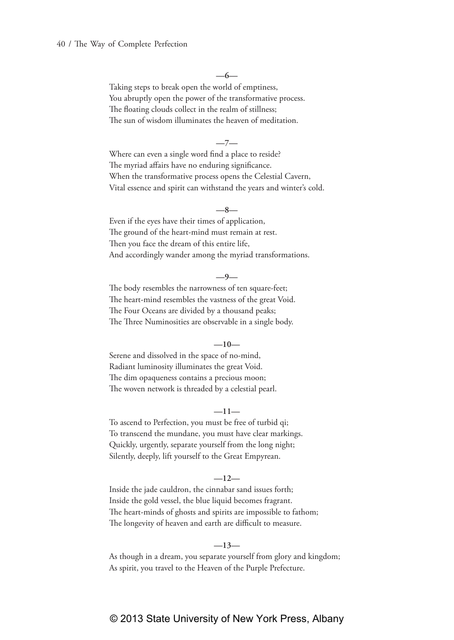# 40 / The Way of Complete Perfection

#### **—6—**

Taking steps to break open the world of emptiness, You abruptly open the power of the transformative process. The floating clouds collect in the realm of stillness; The sun of wisdom illuminates the heaven of meditation.

#### **—7—**

Where can even a single word find a place to reside? The myriad affairs have no enduring significance. When the transformative process opens the Celestial Cavern, Vital essence and spirit can withstand the years and winter's cold.

# **—8—**

Even if the eyes have their times of application, The ground of the heart-mind must remain at rest. Then you face the dream of this entire life, And accordingly wander among the myriad transformations.

#### **—9—**

The body resembles the narrowness of ten square-feet; The heart-mind resembles the vastness of the great Void. The Four Oceans are divided by a thousand peaks; The Three Numinosities are observable in a single body.

## **—10—**

Serene and dissolved in the space of no-mind, Radiant luminosity illuminates the great Void. The dim opaqueness contains a precious moon; The woven network is threaded by a celestial pearl.

#### **—11—**

To ascend to Perfection, you must be free of turbid qi; To transcend the mundane, you must have clear markings. Quickly, urgently, separate yourself from the long night; Silently, deeply, lift yourself to the Great Empyrean.

# **—12—**

Inside the jade cauldron, the cinnabar sand issues forth; Inside the gold vessel, the blue liquid becomes fragrant. The heart-minds of ghosts and spirits are impossible to fathom; The longevity of heaven and earth are difficult to measure.

# **—13—**

As though in a dream, you separate yourself from glory and kingdom; As spirit, you travel to the Heaven of the Purple Prefecture.

# © 2013 State University of New York Press, Albany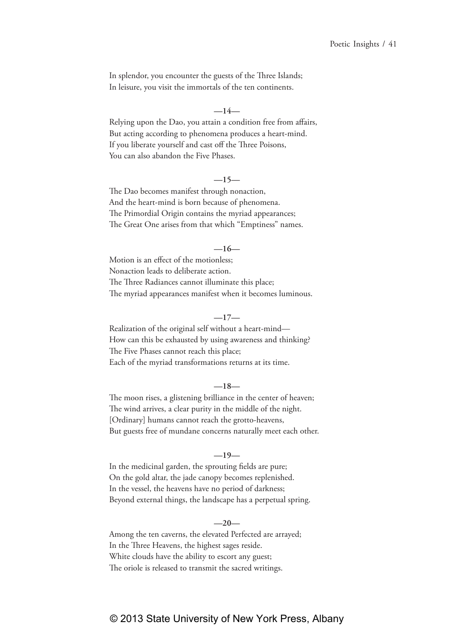In splendor, you encounter the guests of the Three Islands; In leisure, you visit the immortals of the ten continents.

#### **—14—**

Relying upon the Dao, you attain a condition free from affairs, But acting according to phenomena produces a heart-mind. If you liberate yourself and cast off the Three Poisons, You can also abandon the Five Phases.

# **—15—**

The Dao becomes manifest through nonaction, And the heart-mind is born because of phenomena. The Primordial Origin contains the myriad appearances; The Great One arises from that which "Emptiness" names.

## **—16—**

Motion is an effect of the motionless; Nonaction leads to deliberate action. The Three Radiances cannot illuminate this place; The myriad appearances manifest when it becomes luminous.

# **—17—**

Realization of the original self without a heart-mind— How can this be exhausted by using awareness and thinking? The Five Phases cannot reach this place; Each of the myriad transformations returns at its time.

#### **—18—**

The moon rises, a glistening brilliance in the center of heaven; The wind arrives, a clear purity in the middle of the night. [Ordinary] humans cannot reach the grotto-heavens, But guests free of mundane concerns naturally meet each other.

#### **—19—**

In the medicinal garden, the sprouting fields are pure; On the gold altar, the jade canopy becomes replenished. In the vessel, the heavens have no period of darkness; Beyond external things, the landscape has a perpetual spring.

#### **—20—**

Among the ten caverns, the elevated Perfected are arrayed; In the Three Heavens, the highest sages reside. White clouds have the ability to escort any guest; The oriole is released to transmit the sacred writings.

# © 2013 State University of New York Press, Albany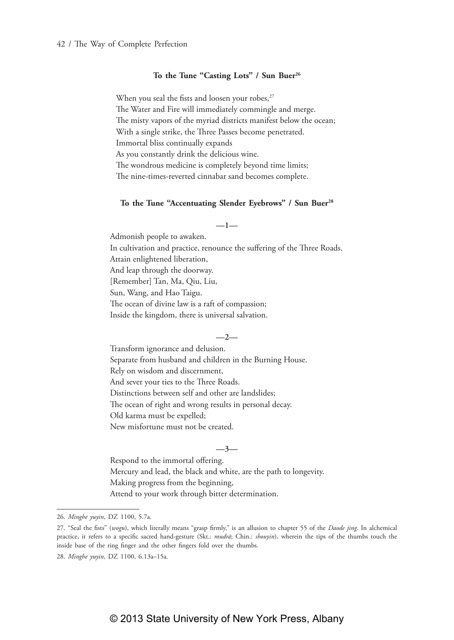# **To the Tune "Casting Lots" / Sun Buer26**

When you seal the fists and loosen your robes, $27$ The Water and Fire will immediately commingle and merge. The misty vapors of the myriad districts manifest below the ocean; With a single strike, the Three Passes become penetrated. Immortal bliss continually expands As you constantly drink the delicious wine. The wondrous medicine is completely beyond time limits; The nine-times-reverted cinnabar sand becomes complete.

# **To the Tune "Accentuating Slender Eyebrows" / Sun Buer28**

# **—1—**

Admonish people to awaken. In cultivation and practice, renounce the suffering of the Three Roads. Attain enlightened liberation, And leap through the doorway. [Remember] Tan, Ma, Qiu, Liu, Sun, Wang, and Hao Taigu. The ocean of divine law is a raft of compassion; Inside the kingdom, there is universal salvation.

#### **—2—**

Transform ignorance and delusion. Separate from husband and children in the Burning House. Rely on wisdom and discernment, And sever your ties to the Three Roads. Distinctions between self and other are landslides; The ocean of right and wrong results in personal decay. Old karma must be expelled; New misfortune must not be created.

#### **—3—**

Respond to the immortal offering. Mercury and lead, the black and white, are the path to longevity. Making progress from the beginning, Attend to your work through bitter determination.

<sup>26.</sup> *Minghe yuyin*, DZ 1100, 5.7a.

<sup>27. &</sup>quot;Seal the fists" (*wogu*), which literally means "grasp firmly," is an allusion to chapter 55 of the *Daode jing*. In alchemical practice, it refers to a specific sacred hand-gesture (Skt.: *mudrā*; Chin.: *shouyin*), wherein the tips of the thumbs touch the inside base of the ring finger and the other fingers fold over the thumbs.

<sup>28.</sup> *Minghe yuyin*, DZ 1100, 6.13a–15a.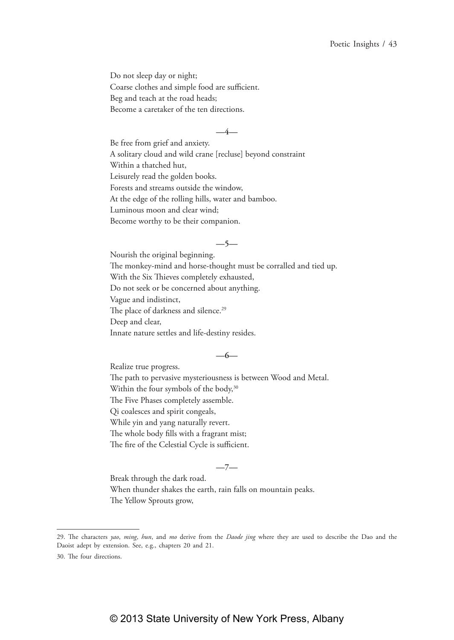Do not sleep day or night; Coarse clothes and simple food are sufficient. Beg and teach at the road heads; Become a caretaker of the ten directions.

**—4—**

Be free from grief and anxiety. A solitary cloud and wild crane [recluse] beyond constraint Within a thatched hut, Leisurely read the golden books. Forests and streams outside the window, At the edge of the rolling hills, water and bamboo. Luminous moon and clear wind; Become worthy to be their companion.

**—5—**

Nourish the original beginning. The monkey-mind and horse-thought must be corralled and tied up. With the Six Thieves completely exhausted, Do not seek or be concerned about anything. Vague and indistinct, The place of darkness and silence.<sup>29</sup> Deep and clear, Innate nature settles and life-destiny resides.

**—6—**

Realize true progress. The path to pervasive mysteriousness is between Wood and Metal. Within the four symbols of the body,<sup>30</sup> The Five Phases completely assemble. Qi coalesces and spirit congeals, While yin and yang naturally revert. The whole body fills with a fragrant mist; The fire of the Celestial Cycle is sufficient.

# **—7—**

Break through the dark road. When thunder shakes the earth, rain falls on mountain peaks. The Yellow Sprouts grow,

<sup>29.</sup> The characters *yao*, *ming*, *hun*, and *mo* derive from the *Daode jing* where they are used to describe the Dao and the Daoist adept by extension. See, e.g., chapters 20 and 21.

<sup>30.</sup> The four directions.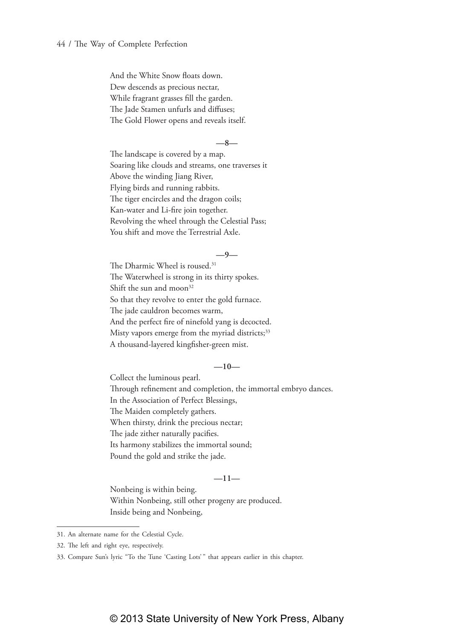And the White Snow floats down. Dew descends as precious nectar, While fragrant grasses fill the garden. The Jade Stamen unfurls and diffuses; The Gold Flower opens and reveals itself.

#### **—8—**

The landscape is covered by a map. Soaring like clouds and streams, one traverses it Above the winding Jiang River, Flying birds and running rabbits. The tiger encircles and the dragon coils; Kan-water and Li-fire join together. Revolving the wheel through the Celestial Pass; You shift and move the Terrestrial Axle.

## **—9—**

The Dharmic Wheel is roused.<sup>31</sup> The Waterwheel is strong in its thirty spokes. Shift the sun and moon $32$ So that they revolve to enter the gold furnace. The jade cauldron becomes warm, And the perfect fire of ninefold yang is decocted. Misty vapors emerge from the myriad districts;<sup>33</sup> A thousand-layered kingfisher-green mist.

#### **—10—**

Collect the luminous pearl. Through refinement and completion, the immortal embryo dances. In the Association of Perfect Blessings, The Maiden completely gathers. When thirsty, drink the precious nectar; The jade zither naturally pacifies. Its harmony stabilizes the immortal sound; Pound the gold and strike the jade.

#### **—11—**

Nonbeing is within being. Within Nonbeing, still other progeny are produced. Inside being and Nonbeing,

32. The left and right eye, respectively.

<sup>31.</sup> An alternate name for the Celestial Cycle.

<sup>33.</sup> Compare Sun's lyric "To the Tune 'Casting Lots' " that appears earlier in this chapter.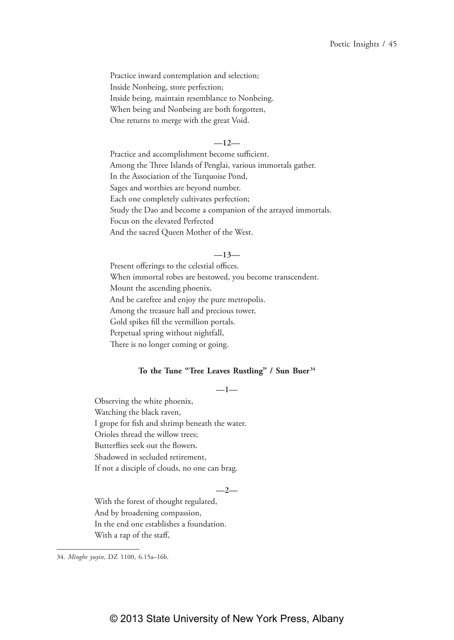Practice inward contemplation and selection; Inside Nonbeing, store perfection; Inside being, maintain resemblance to Nonbeing. When being and Nonbeing are both forgotten, One returns to merge with the great Void.

#### **—12—**

Practice and accomplishment become sufficient. Among the Three Islands of Penglai, various immortals gather. In the Association of the Turquoise Pond, Sages and worthies are beyond number. Each one completely cultivates perfection; Study the Dao and become a companion of the arrayed immortals. Focus on the elevated Perfected And the sacred Queen Mother of the West.

## **—13—**

Present offerings to the celestial offices. When immortal robes are bestowed, you become transcendent. Mount the ascending phoenix, And be carefree and enjoy the pure metropolis. Among the treasure hall and precious tower, Gold spikes fill the vermillion portals. Perpetual spring without nightfall, There is no longer coming or going.

# **To the Tune "Tree Leaves Rustling" / Sun Buer <sup>34</sup>**

**—1—**

Observing the white phoenix, Watching the black raven, I grope for fish and shrimp beneath the water. Orioles thread the willow trees; Butterflies seek out the flowers. Shadowed in secluded retirement, If not a disciple of clouds, no one can brag.

#### **—2—**

With the forest of thought regulated, And by broadening compassion, In the end one establishes a foundation. With a rap of the staff,

<sup>34.</sup> *Minghe yuyin*, DZ 1100, 6.15a–16b.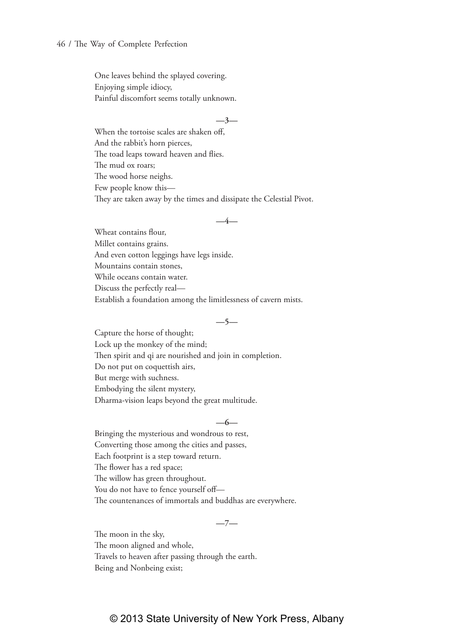One leaves behind the splayed covering. Enjoying simple idiocy, Painful discomfort seems totally unknown.

# **—3—**

When the tortoise scales are shaken off, And the rabbit's horn pierces, The toad leaps toward heaven and flies. The mud ox roars; The wood horse neighs. Few people know this— They are taken away by the times and dissipate the Celestial Pivot.

#### **—4—**

Wheat contains flour, Millet contains grains. And even cotton leggings have legs inside. Mountains contain stones, While oceans contain water. Discuss the perfectly real— Establish a foundation among the limitlessness of cavern mists.

# **—5—**

Capture the horse of thought; Lock up the monkey of the mind; Then spirit and qi are nourished and join in completion. Do not put on coquettish airs, But merge with suchness. Embodying the silent mystery, Dharma-vision leaps beyond the great multitude.

## **—6—**

Bringing the mysterious and wondrous to rest, Converting those among the cities and passes, Each footprint is a step toward return. The flower has a red space; The willow has green throughout. You do not have to fence yourself off— The countenances of immortals and buddhas are everywhere.

**—7—**

The moon in the sky, The moon aligned and whole, Travels to heaven after passing through the earth. Being and Nonbeing exist;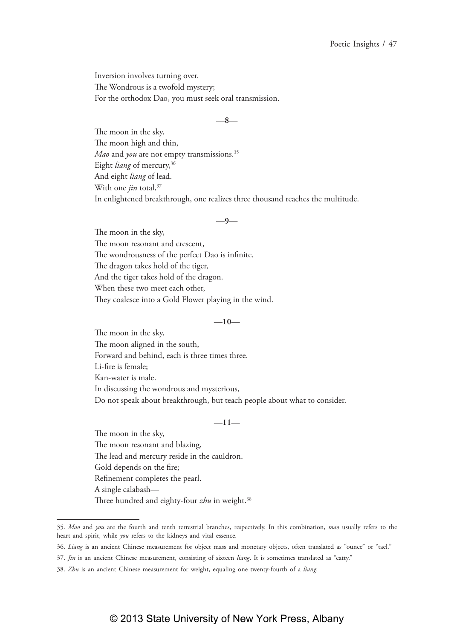Inversion involves turning over. The Wondrous is a twofold mystery; For the orthodox Dao, you must seek oral transmission.

#### **—8—**

The moon in the sky, The moon high and thin, *Mao* and *you* are not empty transmissions.<sup>35</sup> Eight *liang* of mercury,<sup>36</sup> And eight *liang* of lead. With one *jin* total,<sup>37</sup> In enlightened breakthrough, one realizes three thousand reaches the multitude.

#### **—9—**

The moon in the sky, The moon resonant and crescent, The wondrousness of the perfect Dao is infinite. The dragon takes hold of the tiger, And the tiger takes hold of the dragon. When these two meet each other, They coalesce into a Gold Flower playing in the wind.

#### **—10—**

The moon in the sky, The moon aligned in the south, Forward and behind, each is three times three. Li-fire is female; Kan-water is male. In discussing the wondrous and mysterious, Do not speak about breakthrough, but teach people about what to consider.

## **—11—**

The moon in the sky, The moon resonant and blazing, The lead and mercury reside in the cauldron. Gold depends on the fire; Refinement completes the pearl. A single calabash— Three hundred and eighty-four *zhu* in weight.<sup>38</sup>

<sup>35.</sup> *Mao* and *you* are the fourth and tenth terrestrial branches, respectively. In this combination, *mao* usually refers to the heart and spirit, while *you* refers to the kidneys and vital essence.

<sup>36.</sup> *Liang* is an ancient Chinese measurement for object mass and monetary objects, often translated as "ounce" or "tael."

<sup>37.</sup> *Jin* is an ancient Chinese measurement, consisting of sixteen *liang*. It is sometimes translated as "catty."

<sup>38.</sup> *Zhu* is an ancient Chinese measurement for weight, equaling one twenty-fourth of a *liang*.